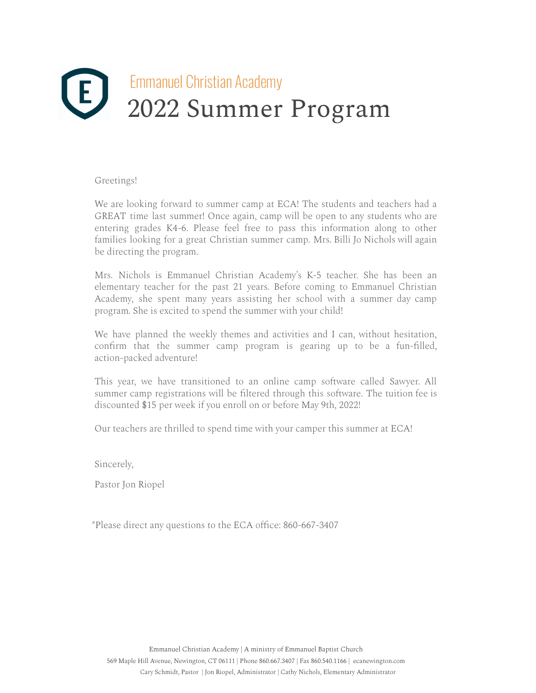# EMMANUEL EMMANUEL CHRISTIAN Academy 2022 Summer Program

#### Greetings!

We are looking forward to summer camp at ECA! The students and teachers had a GREAT time last summer! Once again, camp will be open to any students who are entering grades K4-6. Please feel free to pass this information along to other families looking for a great Christian summer camp. Mrs. Billi Jo Nichols will again be directing the program.

Mrs. Nichols is Emmanuel Christian Academy's K-5 teacher. She has been an elementary teacher for the past 21 years. Before coming to Emmanuel Christian Academy, she spent many years assisting her school with a summer day camp program. She is excited to spend the summer with your child!

We have planned the weekly themes and activities and I can, without hesitation, confirm that the summer camp program is gearing up to be a fun-filled, action-packed adventure!

This year, we have transitioned to an online camp software called Sawyer. All summer camp registrations will be filtered through this software. The tuition fee is discounted \$15 per week if you enroll on or before May 9th, 2022!

Our teachers are thrilled to spend time with your camper this summer at ECA!

Sincerely,

Pastor Jon Riopel

\*Please direct any questions to the ECA office: 860-667-3407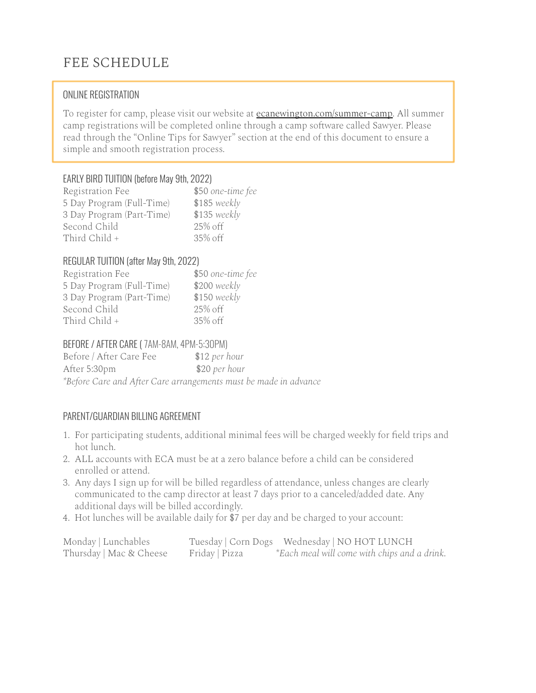### FEE SCHEDULE

#### ONLINE REGISTRATION

To register for camp, please visit our website at ecanewington.com/summer-camp. All summer camp registrations will be completed online through a camp software called Sawyer. Please read through the "Online Tips for Sawyer" section at the end of this document to ensure a simple and smooth registration process.

#### EARLY BIRD TUITION (before May 9th, 2022)

| Registration Fee          | \$50 one-time fee |
|---------------------------|-------------------|
| 5 Day Program (Full-Time) | $$185$ weekly     |
| 3 Day Program (Part-Time) | $$135 \, weekly$  |
| Second Child              | 25% off           |
| Third Child +             | $35\%$ off        |

#### REGULAR TUITION (after May 9th, 2022)

| Registration Fee          | \$50 one-time fee |
|---------------------------|-------------------|
| 5 Day Program (Full-Time) | $$200$ weekly     |
| 3 Day Program (Part-Time) | $$150$ weekly     |
| Second Child              | 25% off           |
| Third Child +             | $35\%$ off        |

#### BEFORE / AFTER CARE ( 7AM-8AM, 4PM-5:30PM)

Before / After Care Fee \$12 *per hour* After 5:30pm \$20 *per hour \*Before Care and After Care arrangements must be made in advance*

#### PARENT/GUARDIAN BILLING AGREEMENT

- 1. For participating students, additional minimal fees will be charged weekly for field trips and hot lunch.
- 2. ALL accounts with ECA must be at a zero balance before a child can be considered enrolled or attend.
- 3. Any days I sign up for will be billed regardless of attendance, unless changes are clearly communicated to the camp director at least 7 days prior to a canceled/added date. Any additional days will be billed accordingly.
- 4. Hot lunches will be available daily for \$7 per day and be charged to your account:

| Monday   Lunchables     |                |                                              |
|-------------------------|----------------|----------------------------------------------|
| Thursday   Mac & Cheese | Friday   Pizza | *Each meal will come with chips and a drink. |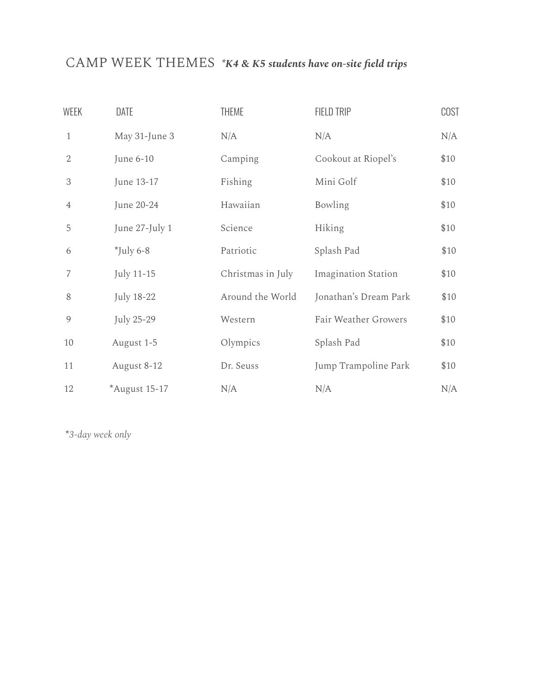### CAMP WEEK THEMES *\*K4 & K5 students have on-site field trips*

| <b>WEEK</b>    | DATE           | <b>THEME</b>      | FIELD TRIP                 | <b>COST</b> |
|----------------|----------------|-------------------|----------------------------|-------------|
| $\mathbf{1}$   | May 31-June 3  | N/A               | N/A                        | N/A         |
| $\overline{2}$ | June 6-10      | Camping           | Cookout at Riopel's        | \$10        |
| 3              | June 13-17     | Fishing           | Mini Golf                  | \$10        |
| $\overline{4}$ | June 20-24     | Hawaiian          | Bowling                    | \$10        |
| 5              | June 27-July 1 | Science           | Hiking                     | \$10        |
| 6              | $^*$ July 6-8  | Patriotic         | Splash Pad                 | \$10        |
| 7              | July 11-15     | Christmas in July | <b>Imagination Station</b> | \$10        |
| 8              | July 18-22     | Around the World  | Jonathan's Dream Park      | \$10        |
| 9              | July 25-29     | Western           | Fair Weather Growers       | \$10        |
| 10             | August 1-5     | Olympics          | Splash Pad                 | \$10        |
| 11             | August 8-12    | Dr. Seuss         | Jump Trampoline Park       | \$10        |
| 12             | *August 15-17  | N/A               | N/A                        | N/A         |

**\****3-day week only*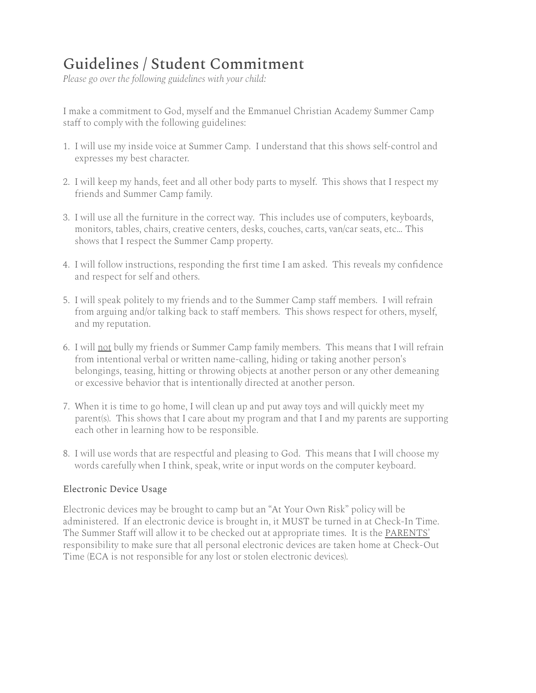## Guidelines / Student Commitment

*Please go over the following guidelines with your child:*

I make a commitment to God, myself and the Emmanuel Christian Academy Summer Camp staff to comply with the following guidelines:

- 1. I will use my inside voice at Summer Camp. I understand that this shows self-control and expresses my best character.
- 2. I will keep my hands, feet and all other body parts to myself. This shows that I respect my friends and Summer Camp family.
- 3. I will use all the furniture in the correct way. This includes use of computers, keyboards, monitors, tables, chairs, creative centers, desks, couches, carts, van/car seats, etc… This shows that I respect the Summer Camp property.
- 4. I will follow instructions, responding the first time I am asked. This reveals my confidence and respect for self and others.
- 5. I will speak politely to my friends and to the Summer Camp staff members. I will refrain from arguing and/or talking back to staff members. This shows respect for others, myself, and my reputation.
- 6. I will not bully my friends or Summer Camp family members. This means that I will refrain from intentional verbal or written name-calling, hiding or taking another person's belongings, teasing, hitting or throwing objects at another person or any other demeaning or excessive behavior that is intentionally directed at another person.
- 7. When it is time to go home, I will clean up and put away toys and will quickly meet my parent(s). This shows that I care about my program and that I and my parents are supporting each other in learning how to be responsible.
- 8. I will use words that are respectful and pleasing to God. This means that I will choose my words carefully when I think, speak, write or input words on the computer keyboard.

#### Electronic Device Usage

Electronic devices may be brought to camp but an "At Your Own Risk" policy will be administered. If an electronic device is brought in, it MUST be turned in at Check-In Time. The Summer Staff will allow it to be checked out at appropriate times. It is the PARENTS' responsibility to make sure that all personal electronic devices are taken home at Check-Out Time (ECA is not responsible for any lost or stolen electronic devices).